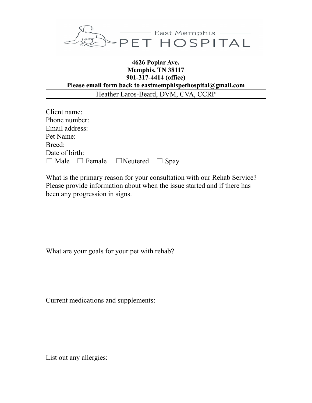

## **4626 Poplar Ave. Memphis, TN 38117 901-317-4414 (office) Please email form back to eastmemphispethospital@gmail.com** Heather Laros-Beard, DVM, CVA, CCRP

| Client name:                                          |  |  |
|-------------------------------------------------------|--|--|
| Phone number:                                         |  |  |
| Email address:                                        |  |  |
| Pet Name:                                             |  |  |
| Breed:                                                |  |  |
| Date of birth:                                        |  |  |
| $\Box$ Male $\Box$ Female $\Box$ Neutered $\Box$ Spay |  |  |

What is the primary reason for your consultation with our Rehab Service? Please provide information about when the issue started and if there has been any progression in signs.

What are your goals for your pet with rehab?

Current medications and supplements:

List out any allergies: